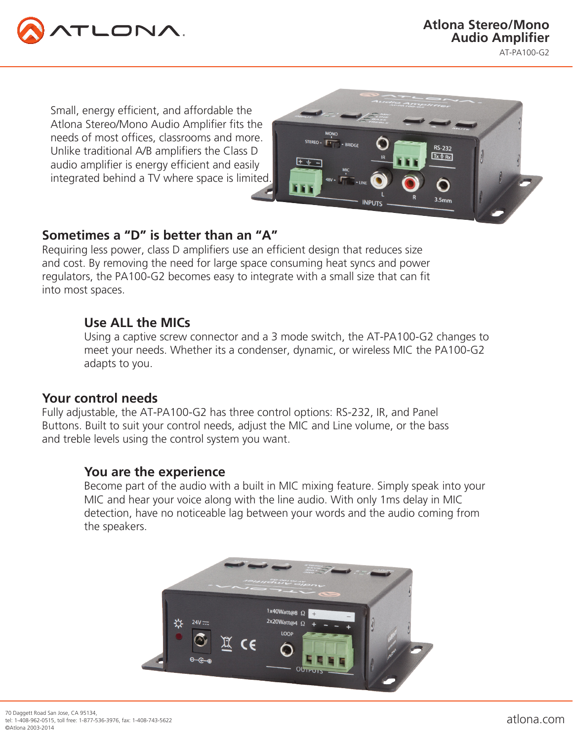

Small, energy efficient, and affordable the Atlona Stereo/Mono Audio Amplifier fits the needs of most offices, classrooms and more. Unlike traditional A/B amplifiers the Class D audio amplifier is energy efficient and easily integrated behind a TV where space is limited.



# **Sometimes a "D" is better than an "A"**

Requiring less power, class D amplifiers use an efficient design that reduces size and cost. By removing the need for large space consuming heat syncs and power regulators, the PA100-G2 becomes easy to integrate with a small size that can fit into most spaces.

## **Use ALL the MICs**

Using a captive screw connector and a 3 mode switch, the AT-PA100-G2 changes to meet your needs. Whether its a condenser, dynamic, or wireless MIC the PA100-G2 adapts to you.

### **Your control needs**

Fully adjustable, the AT-PA100-G2 has three control options: RS-232, IR, and Panel Buttons. Built to suit your control needs, adjust the MIC and Line volume, or the bass and treble levels using the control system you want.

### **You are the experience**

Become part of the audio with a built in MIC mixing feature. Simply speak into your MIC and hear your voice along with the line audio. With only 1ms delay in MIC detection, have no noticeable lag between your words and the audio coming from the speakers.